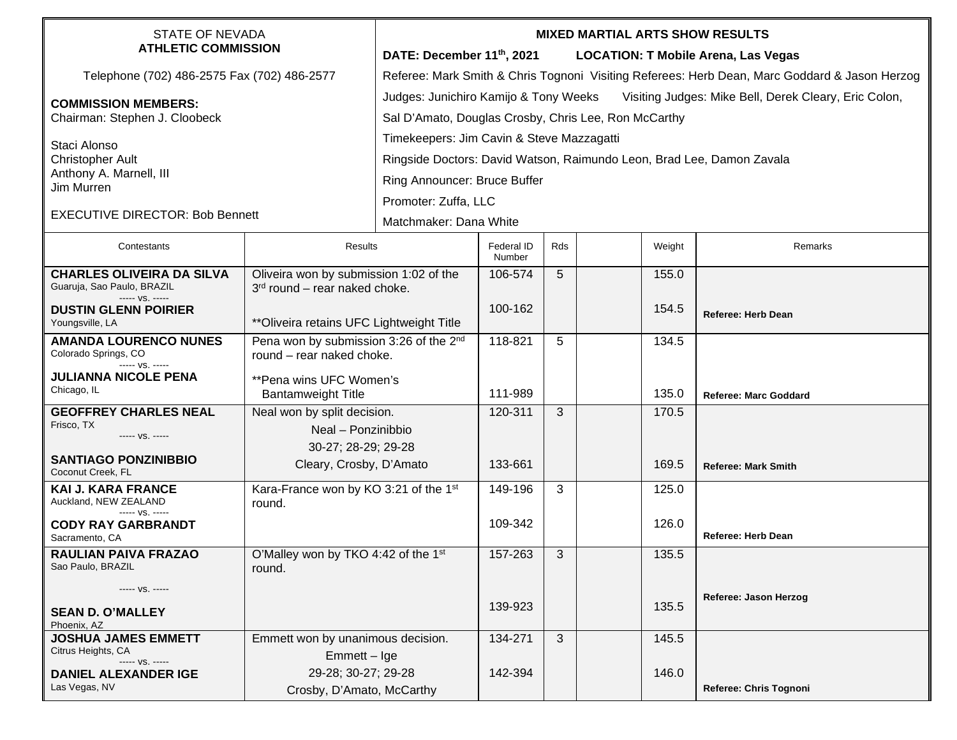| <b>STATE OF NEVADA</b><br><b>ATHLETIC COMMISSION</b>                  |                                                                                 | <b>MIXED MARTIAL ARTS SHOW RESULTS</b>                                                        |                      |     |        |                                            |  |  |  |
|-----------------------------------------------------------------------|---------------------------------------------------------------------------------|-----------------------------------------------------------------------------------------------|----------------------|-----|--------|--------------------------------------------|--|--|--|
|                                                                       |                                                                                 | DATE: December 11th, 2021                                                                     |                      |     |        | <b>LOCATION: T Mobile Arena, Las Vegas</b> |  |  |  |
| Telephone (702) 486-2575 Fax (702) 486-2577                           |                                                                                 | Referee: Mark Smith & Chris Tognoni Visiting Referees: Herb Dean, Marc Goddard & Jason Herzog |                      |     |        |                                            |  |  |  |
| <b>COMMISSION MEMBERS:</b><br>Chairman: Stephen J. Cloobeck           |                                                                                 | Judges: Junichiro Kamijo & Tony Weeks Visiting Judges: Mike Bell, Derek Cleary, Eric Colon,   |                      |     |        |                                            |  |  |  |
|                                                                       |                                                                                 | Sal D'Amato, Douglas Crosby, Chris Lee, Ron McCarthy                                          |                      |     |        |                                            |  |  |  |
| Staci Alonso                                                          |                                                                                 | Timekeepers: Jim Cavin & Steve Mazzagatti                                                     |                      |     |        |                                            |  |  |  |
| <b>Christopher Ault</b>                                               |                                                                                 | Ringside Doctors: David Watson, Raimundo Leon, Brad Lee, Damon Zavala                         |                      |     |        |                                            |  |  |  |
| Anthony A. Marnell, III<br>Jim Murren                                 |                                                                                 | Ring Announcer: Bruce Buffer                                                                  |                      |     |        |                                            |  |  |  |
|                                                                       |                                                                                 | Promoter: Zuffa, LLC                                                                          |                      |     |        |                                            |  |  |  |
| <b>EXECUTIVE DIRECTOR: Bob Bennett</b>                                |                                                                                 | Matchmaker: Dana White                                                                        |                      |     |        |                                            |  |  |  |
| Contestants                                                           | Results                                                                         |                                                                                               | Federal ID<br>Number | Rds | Weight | Remarks                                    |  |  |  |
| <b>CHARLES OLIVEIRA DA SILVA</b><br>Guaruja, Sao Paulo, BRAZIL        | Oliveira won by submission 1:02 of the<br>$3rd$ round – rear naked choke.       |                                                                                               | 106-574              | 5   | 155.0  |                                            |  |  |  |
| ----- VS. -----<br><b>DUSTIN GLENN POIRIER</b><br>Youngsville, LA     | ** Oliveira retains UFC Lightweight Title                                       |                                                                                               | 100-162              |     | 154.5  | Referee: Herb Dean                         |  |  |  |
| <b>AMANDA LOURENCO NUNES</b><br>Colorado Springs, CO<br>$--- VS. ---$ | Pena won by submission 3:26 of the 2 <sup>nd</sup><br>round - rear naked choke. |                                                                                               | 118-821              | 5   | 134.5  |                                            |  |  |  |
| <b>JULIANNA NICOLE PENA</b><br>Chicago, IL                            | **Pena wins UFC Women's<br><b>Bantamweight Title</b>                            |                                                                                               | 111-989              |     | 135.0  | <b>Referee: Marc Goddard</b>               |  |  |  |
| <b>GEOFFREY CHARLES NEAL</b><br>Frisco, TX                            | Neal won by split decision.                                                     |                                                                                               | 120-311              | 3   | 170.5  |                                            |  |  |  |
| ----- VS. -----                                                       | Neal - Ponzinibbio                                                              |                                                                                               |                      |     |        |                                            |  |  |  |
| <b>SANTIAGO PONZINIBBIO</b><br>Coconut Creek, FL                      | 30-27; 28-29; 29-28<br>Cleary, Crosby, D'Amato                                  |                                                                                               | 133-661              |     | 169.5  | <b>Referee: Mark Smith</b>                 |  |  |  |
| <b>KAI J. KARA FRANCE</b><br>Auckland, NEW ZEALAND<br>----- VS. ----- | Kara-France won by KO 3:21 of the 1st<br>round.                                 |                                                                                               | 149-196              | 3   | 125.0  |                                            |  |  |  |
| <b>CODY RAY GARBRANDT</b><br>Sacramento, CA                           |                                                                                 |                                                                                               | 109-342              |     | 126.0  | <b>Referee: Herb Dean</b>                  |  |  |  |
| <b>RAULIAN PAIVA FRAZAO</b><br>Sao Paulo, BRAZIL                      | O'Malley won by TKO 4:42 of the 1st<br>round.                                   |                                                                                               | 157-263              | 3   | 135.5  |                                            |  |  |  |
| ----- VS. -----                                                       |                                                                                 |                                                                                               |                      |     |        | Referee: Jason Herzog                      |  |  |  |
| <b>SEAN D. O'MALLEY</b><br>Phoenix, AZ                                |                                                                                 |                                                                                               | 139-923              |     | 135.5  |                                            |  |  |  |
| <b>JOSHUA JAMES EMMETT</b><br>Citrus Heights, CA                      | Emmett won by unanimous decision.                                               |                                                                                               | 134-271              | 3   | 145.5  |                                            |  |  |  |
| ----- VS. -----                                                       | $Emmett - Ige$                                                                  |                                                                                               |                      |     |        |                                            |  |  |  |
| <b>DANIEL ALEXANDER IGE</b><br>Las Vegas, NV                          | 29-28; 30-27; 29-28<br>Crosby, D'Amato, McCarthy                                |                                                                                               | 142-394              |     | 146.0  | Referee: Chris Tognoni                     |  |  |  |
|                                                                       |                                                                                 |                                                                                               |                      |     |        |                                            |  |  |  |